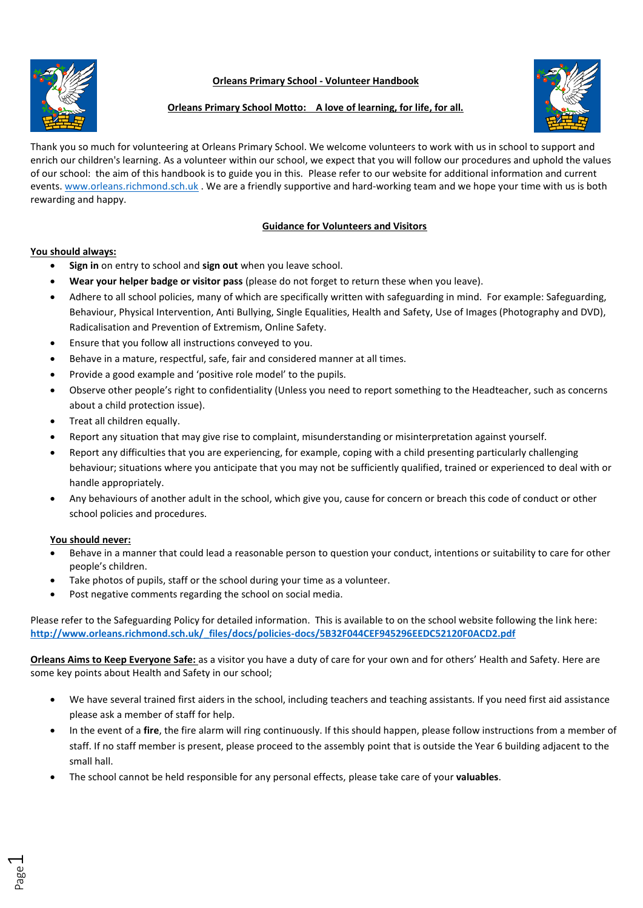# **Orleans Primary School - Volunteer Handbook**





# **Orleans Primary School Motto: A love of learning, for life, for all.**

Thank you so much for volunteering at Orleans Primary School. We welcome volunteers to work with us in school to support and enrich our children's learning. As a volunteer within our school, we expect that you will follow our procedures and uphold the values of our school: the aim of this handbook is to guide you in this. Please refer to our website for additional information and current events. [www.orleans.richmond.sch.uk](http://www.orleans.richmond.sch.uk/) . We are a friendly supportive and hard-working team and we hope your time with us is both rewarding and happy.

# **Guidance for Volunteers and Visitors**

## **You should always:**

- **Sign in** on entry to school and **sign out** when you leave school.
- **Wear your helper badge or visitor pass** (please do not forget to return these when you leave).
- Adhere to all school policies, many of which are specifically written with safeguarding in mind. For example: Safeguarding, Behaviour, Physical Intervention, Anti Bullying, Single Equalities, Health and Safety, Use of Images (Photography and DVD), Radicalisation and Prevention of Extremism, Online Safety.
- Ensure that you follow all instructions conveyed to you.
- Behave in a mature, respectful, safe, fair and considered manner at all times.
- Provide a good example and 'positive role model' to the pupils.
- Observe other people's right to confidentiality (Unless you need to report something to the Headteacher, such as concerns about a child protection issue).
- Treat all children equally.
- Report any situation that may give rise to complaint, misunderstanding or misinterpretation against yourself.
- Report any difficulties that you are experiencing, for example, coping with a child presenting particularly challenging behaviour; situations where you anticipate that you may not be sufficiently qualified, trained or experienced to deal with or handle appropriately.
- Any behaviours of another adult in the school, which give you, cause for concern or breach this code of conduct or other school policies and procedures.

### **You should never:**

- Behave in a manner that could lead a reasonable person to question your conduct, intentions or suitability to care for other people's children.
- Take photos of pupils, staff or the school during your time as a volunteer.
- Post negative comments regarding the school on social media.

Please refer to the Safeguarding Policy for detailed information. This is available to on the school website following the link here: **[http://www.orleans.richmond.sch.uk/\\_files/docs/policies-docs/5B32F044CEF945296EEDC52120F0ACD2.pdf](http://www.orleans.richmond.sch.uk/_files/docs/policies-docs/5B32F044CEF945296EEDC52120F0ACD2.pdf)**

**Orleans Aims to Keep Everyone Safe:** as a visitor you have a duty of care for your own and for others' Health and Safety. Here are some key points about Health and Safety in our school;

- We have several trained first aiders in the school, including teachers and teaching assistants. If you need first aid assistance please ask a member of staff for help.
- In the event of a **fire**, the fire alarm will ring continuously. If this should happen, please follow instructions from a member of staff. If no staff member is present, please proceed to the assembly point that is outside the Year 6 building adjacent to the small hall.
- The school cannot be held responsible for any personal effects, please take care of your **valuables**.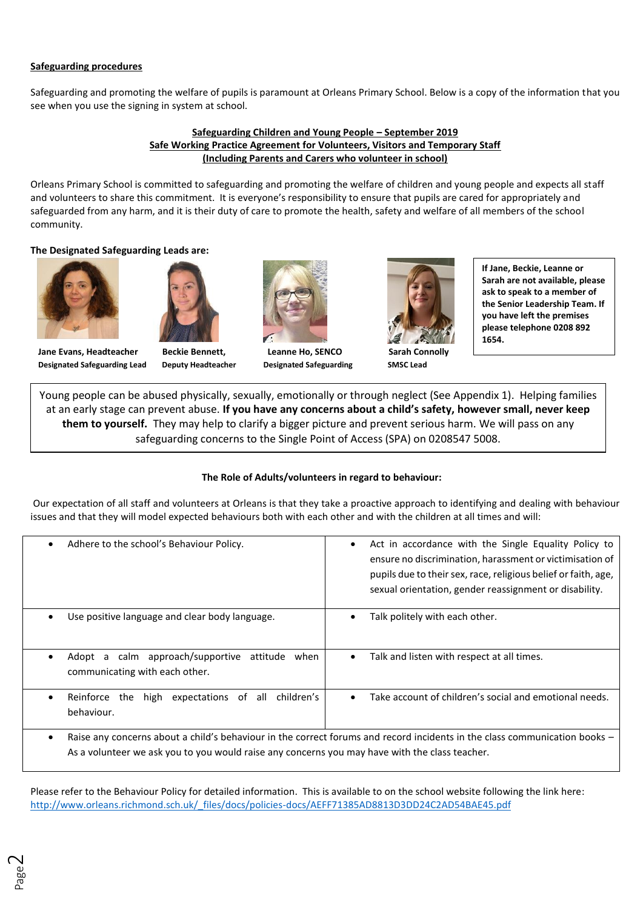## **Safeguarding procedures**

Safeguarding and promoting the welfare of pupils is paramount at Orleans Primary School. Below is a copy of the information that you see when you use the signing in system at school.

### **Safeguarding Children and Young People – September 2019 Safe Working Practice Agreement for Volunteers, Visitors and Temporary Staff (Including Parents and Carers who volunteer in school)**

Orleans Primary School is committed to safeguarding and promoting the welfare of children and young people and expects all staff and volunteers to share this commitment. It is everyone's responsibility to ensure that pupils are cared for appropriately and safeguarded from any harm, and it is their duty of care to promote the health, safety and welfare of all members of the school community.

## **The Designated Safeguarding Leads are:**





**Designated Safeguarding Lead Deputy Headteacher Designated Safeguarding SMSC Lead**



**Jane Evans, Headteacher Beckie Bennett, Leanne Ho, SENCO Sarah Connolly**



**If Jane, Beckie, Leanne or Sarah are not available, please ask to speak to a member of the Senior Leadership Team. If you have left the premises please telephone 0208 892 1654.**

Young people can be abused physically, sexually, emotionally or through neglect (See Appendix 1). Helping families at an early stage can prevent abuse. **If you have any concerns about a child's safety, however small, never keep them to yourself.** They may help to clarify a bigger picture and prevent serious harm. We will pass on any safeguarding concerns to the Single Point of Access (SPA) on 0208547 5008.

# **The Role of Adults/volunteers in regard to behaviour:**

Our expectation of all staff and volunteers at Orleans is that they take a proactive approach to identifying and dealing with behaviour issues and that they will model expected behaviours both with each other and with the children at all times and will:

| Adhere to the school's Behaviour Policy.<br>$\bullet$                                               | Act in accordance with the Single Equality Policy to<br>$\bullet$<br>ensure no discrimination, harassment or victimisation of<br>pupils due to their sex, race, religious belief or faith, age,<br>sexual orientation, gender reassignment or disability. |  |
|-----------------------------------------------------------------------------------------------------|-----------------------------------------------------------------------------------------------------------------------------------------------------------------------------------------------------------------------------------------------------------|--|
| Use positive language and clear body language.<br>٠                                                 | Talk politely with each other.                                                                                                                                                                                                                            |  |
| Adopt a calm approach/supportive attitude when<br>٠<br>communicating with each other.               | Talk and listen with respect at all times.<br>٠                                                                                                                                                                                                           |  |
| Reinforce the<br>high<br>expectations of all children's<br>٠<br>behaviour.                          | Take account of children's social and emotional needs.<br>$\bullet$                                                                                                                                                                                       |  |
| ٠<br>As a volunteer we ask you to you would raise any concerns you may have with the class teacher. | Raise any concerns about a child's behaviour in the correct forums and record incidents in the class communication books –                                                                                                                                |  |

Please refer to the Behaviour Policy for detailed information. This is available to on the school website following the link here: [http://www.orleans.richmond.sch.uk/\\_files/docs/policies-docs/AEFF71385AD8813D3DD24C2AD54BAE45.pdf](http://www.orleans.richmond.sch.uk/_files/docs/policies-docs/AEFF71385AD8813D3DD24C2AD54BAE45.pdf)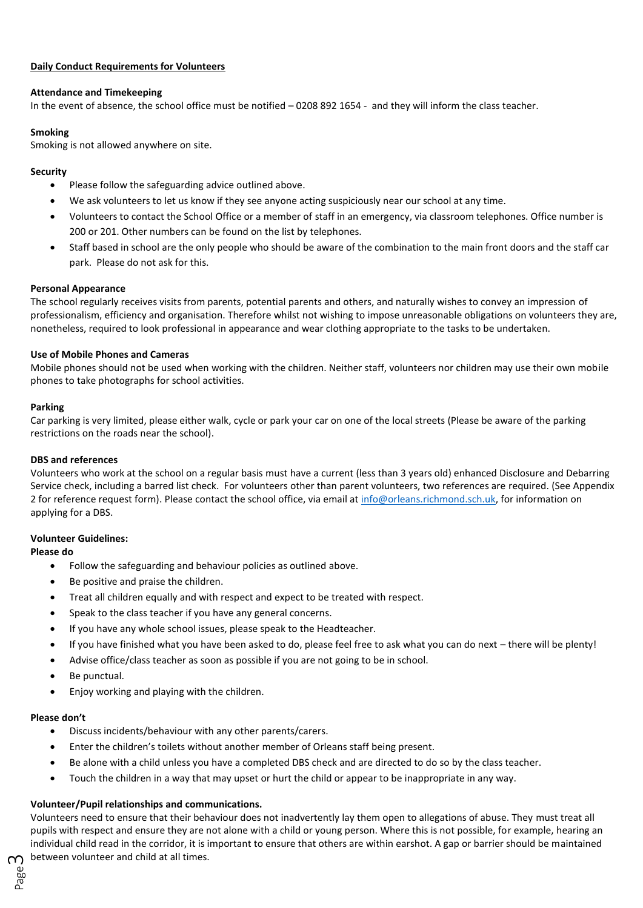## **Daily Conduct Requirements for Volunteers**

### **Attendance and Timekeeping**

In the event of absence, the school office must be notified – 0208 892 1654 - and they will inform the class teacher.

## **Smoking**

Smoking is not allowed anywhere on site.

## **Security**

- Please follow the safeguarding advice outlined above.
- We ask volunteers to let us know if they see anyone acting suspiciously near our school at any time.
- Volunteers to contact the School Office or a member of staff in an emergency, via classroom telephones. Office number is 200 or 201. Other numbers can be found on the list by telephones.
- Staff based in school are the only people who should be aware of the combination to the main front doors and the staff car park. Please do not ask for this.

### **Personal Appearance**

The school regularly receives visits from parents, potential parents and others, and naturally wishes to convey an impression of professionalism, efficiency and organisation. Therefore whilst not wishing to impose unreasonable obligations on volunteers they are, nonetheless, required to look professional in appearance and wear clothing appropriate to the tasks to be undertaken.

## **Use of Mobile Phones and Cameras**

Mobile phones should not be used when working with the children. Neither staff, volunteers nor children may use their own mobile phones to take photographs for school activities.

## **Parking**

Car parking is very limited, please either walk, cycle or park your car on one of the local streets (Please be aware of the parking restrictions on the roads near the school).

### **DBS and references**

Volunteers who work at the school on a regular basis must have a current (less than 3 years old) enhanced Disclosure and Debarring Service check, including a barred list check. For volunteers other than parent volunteers, two references are required. (See Appendix 2 for reference request form). Please contact the school office, via email a[t info@orleans.richmond.sch.uk,](mailto:info@orleans.richmond.sch.uk) for information on applying for a DBS.

# **Volunteer Guidelines:**

## **Please do**

- Follow the safeguarding and behaviour policies as outlined above.
- Be positive and praise the children.
- Treat all children equally and with respect and expect to be treated with respect.
- Speak to the class teacher if you have any general concerns.
- If you have any whole school issues, please speak to the Headteacher.
- If you have finished what you have been asked to do, please feel free to ask what you can do next there will be plenty!
- Advise office/class teacher as soon as possible if you are not going to be in school.
- Be punctual.
- Enjoy working and playing with the children.

### **Please don't**

- Discuss incidents/behaviour with any other parents/carers.
- Enter the children's toilets without another member of Orleans staff being present.
- Be alone with a child unless you have a completed DBS check and are directed to do so by the class teacher.
- Touch the children in a way that may upset or hurt the child or appear to be inappropriate in any way.

# **Volunteer/Pupil relationships and communications.**

 $\gamma$  between volunteer and child at all times. Volunteers need to ensure that their behaviour does not inadvertently lay them open to allegations of abuse. They must treat all pupils with respect and ensure they are not alone with a child or young person. Where this is not possible, for example, hearing an individual child read in the corridor, it is important to ensure that others are within earshot. A gap or barrier should be maintained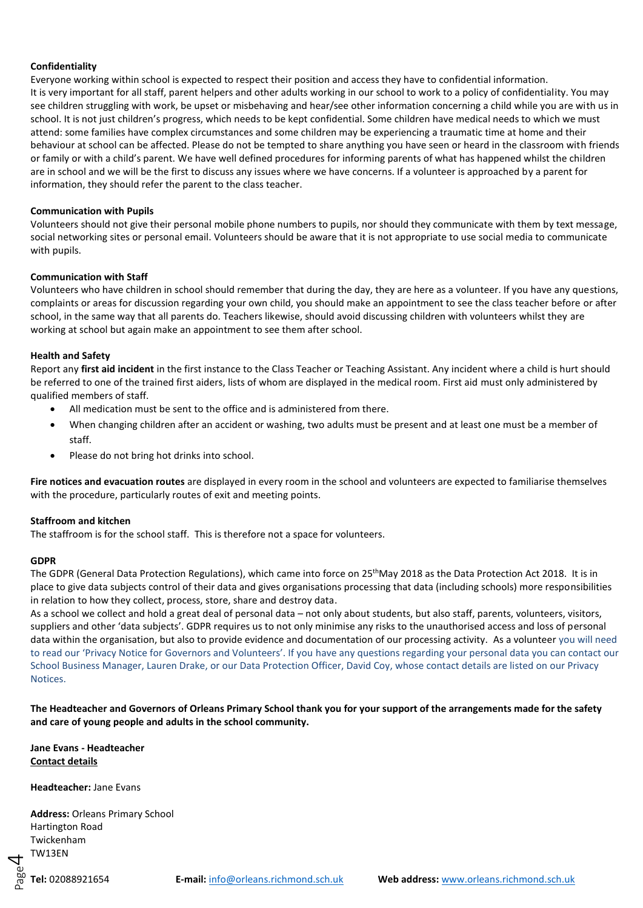### **Confidentiality**

Everyone working within school is expected to respect their position and access they have to confidential information. It is very important for all staff, parent helpers and other adults working in our school to work to a policy of confidentiality. You may see children struggling with work, be upset or misbehaving and hear/see other information concerning a child while you are with us in school. It is not just children's progress, which needs to be kept confidential. Some children have medical needs to which we must attend: some families have complex circumstances and some children may be experiencing a traumatic time at home and their behaviour at school can be affected. Please do not be tempted to share anything you have seen or heard in the classroom with friends or family or with a child's parent. We have well defined procedures for informing parents of what has happened whilst the children are in school and we will be the first to discuss any issues where we have concerns. If a volunteer is approached by a parent for information, they should refer the parent to the class teacher.

### **Communication with Pupils**

Volunteers should not give their personal mobile phone numbers to pupils, nor should they communicate with them by text message, social networking sites or personal email. Volunteers should be aware that it is not appropriate to use social media to communicate with pupils.

### **Communication with Staff**

Volunteers who have children in school should remember that during the day, they are here as a volunteer. If you have any questions, complaints or areas for discussion regarding your own child, you should make an appointment to see the class teacher before or after school, in the same way that all parents do. Teachers likewise, should avoid discussing children with volunteers whilst they are working at school but again make an appointment to see them after school.

### **Health and Safety**

Report any **first aid incident** in the first instance to the Class Teacher or Teaching Assistant. Any incident where a child is hurt should be referred to one of the trained first aiders, lists of whom are displayed in the medical room. First aid must only administered by qualified members of staff.

- All medication must be sent to the office and is administered from there.
- When changing children after an accident or washing, two adults must be present and at least one must be a member of staff.
- Please do not bring hot drinks into school.

**Fire notices and evacuation routes** are displayed in every room in the school and volunteers are expected to familiarise themselves with the procedure, particularly routes of exit and meeting points.

### **Staffroom and kitchen**

The staffroom is for the school staff. This is therefore not a space for volunteers.

### **GDPR**

The GDPR (General Data Protection Regulations), which came into force on 25<sup>th</sup>May 2018 as the Data Protection Act 2018. It is in place to give data subjects control of their data and gives organisations processing that data (including schools) more responsibilities in relation to how they collect, process, store, share and destroy data.

As a school we collect and hold a great deal of personal data – not only about students, but also staff, parents, volunteers, visitors, suppliers and other 'data subjects'. GDPR requires us to not only minimise any risks to the unauthorised access and loss of personal data within the organisation, but also to provide evidence and documentation of our processing activity. As a volunteer you will need to read our 'Privacy Notice for Governors and Volunteers'. If you have any questions regarding your personal data you can contact our School Business Manager, Lauren Drake, or our Data Protection Officer, David Coy, whose contact details are listed on our Privacy Notices.

**The Headteacher and Governors of Orleans Primary School thank you for your support of the arrangements made for the safety and care of young people and adults in the school community.**

**Jane Evans - Headteacher Contact details**

**Headteacher:** Jane Evans

**Address:** Orleans Primary School Hartington Road Twickenham TW13EN

Page

4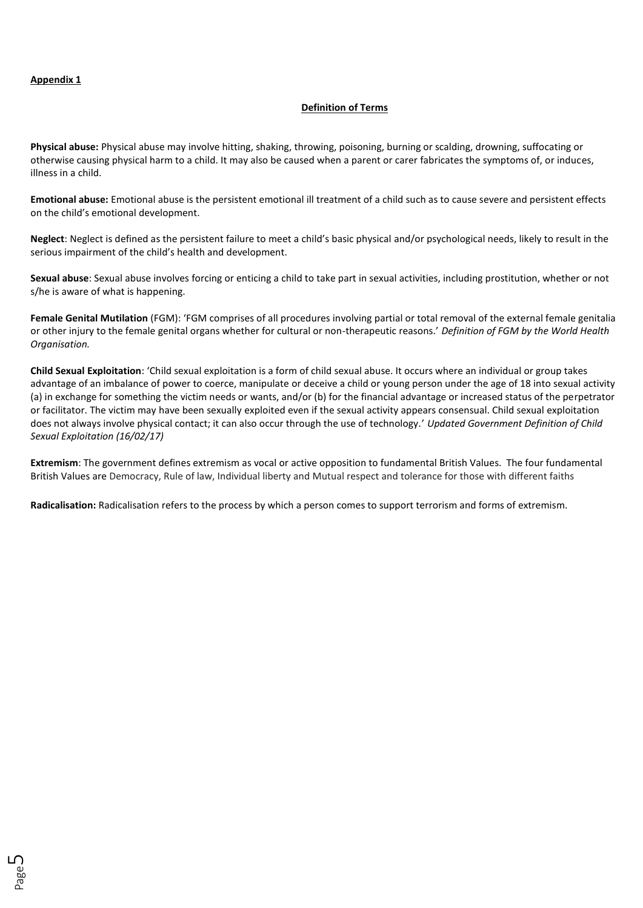### **Definition of Terms**

**Physical abuse:** Physical abuse may involve hitting, shaking, throwing, poisoning, burning or scalding, drowning, suffocating or otherwise causing physical harm to a child. It may also be caused when a parent or carer fabricates the symptoms of, or induces, illness in a child.

**Emotional abuse:** Emotional abuse is the persistent emotional ill treatment of a child such as to cause severe and persistent effects on the child's emotional development.

**Neglect**: Neglect is defined as the persistent failure to meet a child's basic physical and/or psychological needs, likely to result in the serious impairment of the child's health and development.

**Sexual abuse**: Sexual abuse involves forcing or enticing a child to take part in sexual activities, including prostitution, whether or not s/he is aware of what is happening.

**Female Genital Mutilation** (FGM): 'FGM comprises of all procedures involving partial or total removal of the external female genitalia or other injury to the female genital organs whether for cultural or non-therapeutic reasons.' *Definition of FGM by the World Health Organisation.*

**Child Sexual Exploitation**: 'Child sexual exploitation is a form of child sexual abuse. It occurs where an individual or group takes advantage of an imbalance of power to coerce, manipulate or deceive a child or young person under the age of 18 into sexual activity (a) in exchange for something the victim needs or wants, and/or (b) for the financial advantage or increased status of the perpetrator or facilitator. The victim may have been sexually exploited even if the sexual activity appears consensual. Child sexual exploitation does not always involve physical contact; it can also occur through the use of technology.' *Updated Government Definition of Child Sexual Exploitation (16/02/17)*

**Extremism**: The government defines extremism as vocal or active opposition to fundamental British Values. The four fundamental British Values are Democracy, Rule of law, Individual liberty and Mutual respect and tolerance for those with different faiths

**Radicalisation:** Radicalisation refers to the process by which a person comes to support terrorism and forms of extremism.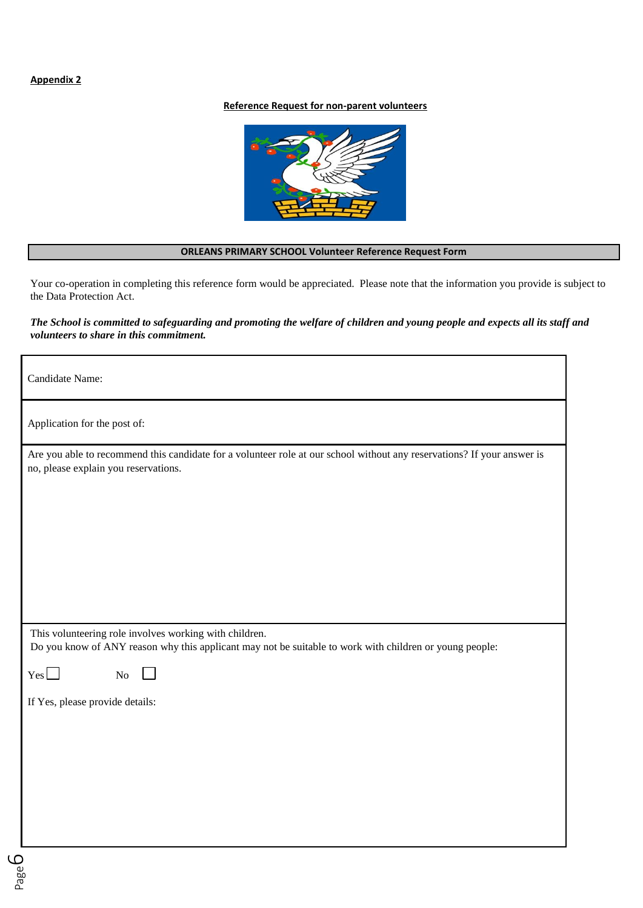# **Appendix 2**

### **Reference Request for non-parent volunteers**



#### **ORLEANS PRIMARY SCHOOL Volunteer Reference Request Form**

Your co-operation in completing this reference form would be appreciated. Please note that the information you provide is subject to the Data Protection Act.

### *The School is committed to safeguarding and promoting the welfare of children and young people and expects all its staff and volunteers to share in this commitment.*

Candidate Name:

Application for the post of:

| Are you able to recommend this candidate for a volunteer role at our school without any reservations? If your answer is |  |
|-------------------------------------------------------------------------------------------------------------------------|--|
| no, please explain you reservations.                                                                                    |  |

This volunteering role involves working with children.

 $\mathbf{L}$ 

Do you know of ANY reason why this applicant may not be suitable to work with children or young people:

 $Y_{\text{es}}$  No

If Yes, please provide details: